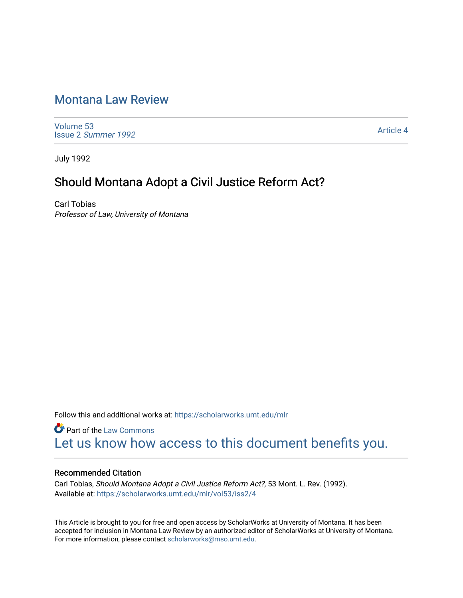# [Montana Law Review](https://scholarworks.umt.edu/mlr)

[Volume 53](https://scholarworks.umt.edu/mlr/vol53) Issue 2 [Summer 1992](https://scholarworks.umt.edu/mlr/vol53/iss2) 

[Article 4](https://scholarworks.umt.edu/mlr/vol53/iss2/4) 

July 1992

## Should Montana Adopt a Civil Justice Reform Act?

Carl Tobias Professor of Law, University of Montana

Follow this and additional works at: [https://scholarworks.umt.edu/mlr](https://scholarworks.umt.edu/mlr?utm_source=scholarworks.umt.edu%2Fmlr%2Fvol53%2Fiss2%2F4&utm_medium=PDF&utm_campaign=PDFCoverPages) 

**Part of the [Law Commons](http://network.bepress.com/hgg/discipline/578?utm_source=scholarworks.umt.edu%2Fmlr%2Fvol53%2Fiss2%2F4&utm_medium=PDF&utm_campaign=PDFCoverPages)** [Let us know how access to this document benefits you.](https://goo.gl/forms/s2rGfXOLzz71qgsB2) 

#### Recommended Citation

Carl Tobias, Should Montana Adopt a Civil Justice Reform Act?, 53 Mont. L. Rev. (1992). Available at: [https://scholarworks.umt.edu/mlr/vol53/iss2/4](https://scholarworks.umt.edu/mlr/vol53/iss2/4?utm_source=scholarworks.umt.edu%2Fmlr%2Fvol53%2Fiss2%2F4&utm_medium=PDF&utm_campaign=PDFCoverPages) 

This Article is brought to you for free and open access by ScholarWorks at University of Montana. It has been accepted for inclusion in Montana Law Review by an authorized editor of ScholarWorks at University of Montana. For more information, please contact [scholarworks@mso.umt.edu.](mailto:scholarworks@mso.umt.edu)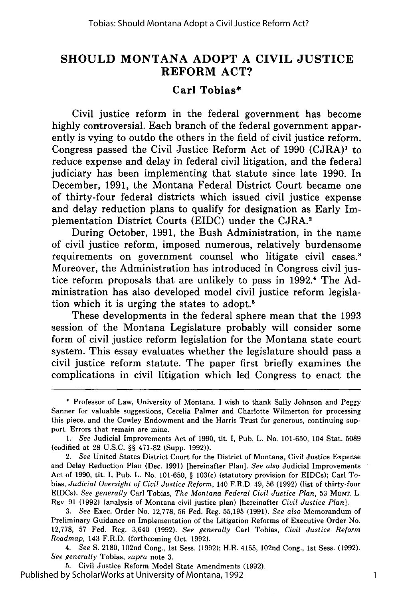### **SHOULD MONTANA ADOPT A CIVIL JUSTICE REFORM ACT?**

#### **Carl Tobias\***

Civil justice reform in the federal government has become **highly** controversial. Each branch of the federal government apparently is vying to outdo the others in the field of civil justice reform. Congress passed the Civil Justice Reform Act of **1990 (CJRA)1** to reduce expense and delay in federal civil litigation, and the federal judiciary has been implementing that statute since late **1990.** In December, **1991,** the Montana Federal District Court became one of thirty-four federal districts which issued civil justice expense and delay reduction plans to qualify for designation as Early Implementation District Courts **(EIDC)** under the **CJRA.2**

During October, **1991,** the Bush Administration, in the name of civil justice reform, imposed numerous, relatively burdensome requirements on government counsel who litigate civil cases.<sup>3</sup> Moreover, the Administration has introduced in Congress civil justice reform proposals that are unlikely to pass in 1992.<sup>4</sup> The Administration has also developed model civil justice reform legislation which it is urging the states to adopt.5

These developments in the federal sphere mean that the **1993** session of the Montana Legislature probably will consider some form of civil justice reform legislation for the Montana state court system. This essay evaluates whether the legislature should pass a civil justice reform statute. The paper first briefly examines the complications in civil litigation which led Congress to enact the

*1. See* Judicial Improvements Act of **1990,** tit. **I,** Pub. L. No. **101-650,** 104 Stat. **5089** (codified at **28 U.S.C. §§ 471-82** (Supp. **1992)).**

2. See United States District Court for the District of Montana, Civil Justice Expense and Delay Reduction Plan (Dec. **1991)** [hereinafter Plan]. *See also* Judicial Improvements Act of **1990,** tit. **I,** Pub. L. No. **101-650, § 103(c)** (statutory provision for EIDCs); Carl Tobias, *Judicial Oversight of Civil Justice Reform,* 140 F.R.D. 49, **56 (1992)** (list of thirty-four EIDCs). *See generally* Carl Tobias, *The Montana Federal Civil Justice Plan,* **53 MONT.** L. **REv. 91 (1992)** (analysis of Montana civil justice plan) [hereinafter *Civil Justice Plan].*

*3. See* Exec. Order No. **12,778, 56** Fed. Reg. **55,195 (1991).** *See also* Memorandum of Preliminary Guidance on Implementation of the Litigation Reforms of Executive Order No. **12,778, 57** Fed. Reg. 3,640 **(1992).** *See generally* Carl Tobias, *Civil Justice Reform Roadmap,* 143 F.R.D. (forthcoming Oct. **1992).**

4. *See* **S. 2180,** 102nd Cong., **1st** Sess. **(1992);** H.R. 4155, 102nd Cong., 1st Sess. **(1992).** *See generally* Tobias, *supra* note **3.**

**5.** Civil Justice Reform Model State Amendments **(1992).** Published by ScholarWorks at University of Montana, 1992

**<sup>\*</sup>** Professor of Law, University of Montana. **I** wish to thank Sally Johnson and Peggy Sanner for valuable suggestions, Cecelia Palmer and Charlotte Wilmerton for processing this piece, and the Cowley Endowment and the Harris Trust for generous, continuing support. Errors that remain are mine.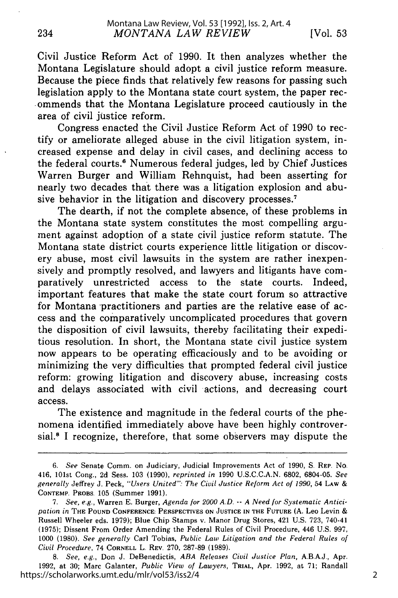Civil Justice Reform Act of 1990. It then analyzes whether the Montana Legislature should adopt a civil justice reform measure. Because the piece finds that relatively few reasons for passing such legislation apply to the Montana state court system, the paper rec- .ommends that the Montana Legislature proceed cautiously in the area of civil justice reform.

Congress enacted the Civil Justice Reform Act of 1990 to rectify or ameliorate alleged abuse in the civil litigation system, increased expense and delay in civil cases, and declining access to the federal courts.<sup>6</sup> Numerous federal judges, led by Chief Justices Warren Burger and William Rehnquist, had been asserting for nearly two decades that there was a litigation explosion and abusive behavior in the litigation and discovery processes.<sup>7</sup>

The dearth, if not the complete absence, of these problems in the Montana state system constitutes the most compelling argument against adoption of a state civil justice reform statute. The Montana state district courts experience little litigation or discovery abuse, most civil lawsuits in the system are rather inexpensively and promptly resolved, and lawyers and litigants have comparatively unrestricted access to the state courts. Indeed, important features that make the state court forum so attractive for Montana practitioners and parties are the relative ease of access and the comparatively uncomplicated procedures that govern the disposition of civil lawsuits, thereby facilitating their expeditious resolution. In short, the Montana state civil justice system now appears to be operating efficaciously and to be avoiding or minimizing the very difficulties that prompted federal civil justice reform: growing litigation and discovery abuse, increasing costs and delays associated with civil actions, and decreasing court access.

The existence and magnitude in the federal courts of the phenomena identified immediately above have been highly controversial.<sup>8</sup> I recognize, therefore, that some observers may dispute the

*<sup>6.</sup> See* Senate Comm. on Judiciary, Judicial Improvements Act of 1990, **S.** REP. No. 416, 101st Cong., 2d Sess. 103 (1990), *reprinted in* 1990 U.S.C.C.A.N. 6802, 6804-05. *See generally* Jeffrey J. Peck, *"Users United": The Civil Justice Reform Act of 1990,* 54 LAW & **CONTEMP.** PROBS. 105 (Summer 1991).

<sup>7.</sup> *See, e.g.,* Warren E. Burger, *Agenda for 2000 A.D. -- A Need for Systematic Anticipation in* THE **POUND CONFERENCE:** PERSPECTIVES **ON JUSTICE IN THE FUTURE (A.** Leo Levin & Russell Wheeler eds. 1979); Blue Chip Stamps v. Manor Drug Stores, 421 U.S. **723,** 740-41 **(1975);** Dissent From Order Amending the Federal Rules of Civil Procedure, 446 U.S. **997,** 1000 (1980). *See generally* Carl Tobias, *Public Law Litigation and the Federal Rules of Civil Procedure,* 74 CORNELL L. REV. 270, 287-89 (1989).

*<sup>8.</sup> See, e.g.,* Don J. DeBenedictis, *ABA Releases Civil Justice Plan,* A.B.A.J., Apr. 1992, at 30; Marc Galanter, *Public View of Lawyers,* TRIAL, Apr. 1992, at 71; Randall https://scholarworks.umt.edu/mlr/vol53/iss2/4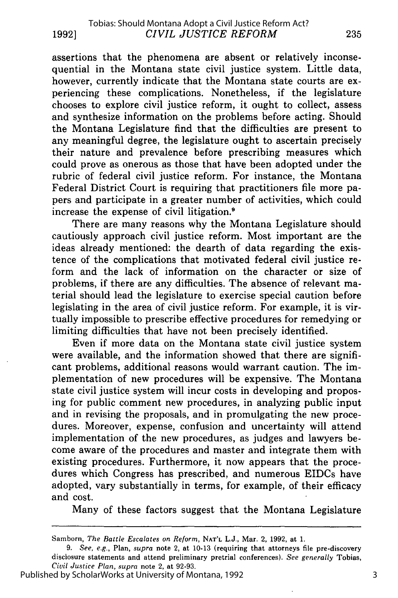assertions that the phenomena are absent or relatively inconsequential in the Montana state civil justice system. Little data, however, currently indicate that the Montana state courts are experiencing these complications. Nonetheless, if the legislature chooses to explore civil justice reform, it ought to collect, assess and synthesize information on the problems before acting. Should the Montana Legislature find that the difficulties are present to any meaningful degree, the legislature ought to ascertain precisely their nature and prevalence before prescribing measures which could prove as onerous as those that have been adopted under the rubric of federal civil justice reform. For instance, the Montana Federal District Court is requiring that practitioners file more papers and participate in a greater number of activities, which could increase the expense of civil litigation.9

There are many reasons why the Montana Legislature should cautiously approach civil justice reform. Most important are the ideas already mentioned: the dearth of data regarding the existence of the complications that motivated federal civil justice reform and the lack of information on the character or size of problems, if there are any difficulties. The absence of relevant material should lead the legislature to exercise special caution before legislating in the area of civil justice reform. For example, it is virtually impossible to prescribe effective procedures for remedying or limiting difficulties that have not been precisely identified.

Even if more data on the Montana state civil justice system were available, and the information showed that there are significant problems, additional reasons would warrant caution. The implementation of new procedures will be expensive. The Montana state civil justice system will incur costs in developing and proposing for public comment new procedures, in analyzing public input and in revising the proposals, and in promulgating the new procedures. Moreover, expense, confusion and uncertainty will attend implementation of the new procedures, as judges and lawyers become aware of the procedures and master and integrate them with existing procedures. Furthermore, it now appears that the procedures which Congress has prescribed, and numerous EIDCs have adopted, vary substantially in terms, for example, of their efficacy and cost.

Many of these factors suggest that the Montana Legislature

Samborn, *The Battle Escalates on Reform,* **NAT'L** L.J., Mar. 2, 1992, at 1.

<sup>9.</sup> *See, e.g.,* Plan, *supra* note 2, at 10-13 (requiring that attorneys file pre-discovery disclosure statements and attend preliminary pretrial conferences). *See generally* Tobias, Civil *Justice Plan, supra* note 2, at 92-93.

Published by ScholarWorks at University of Montana, 1992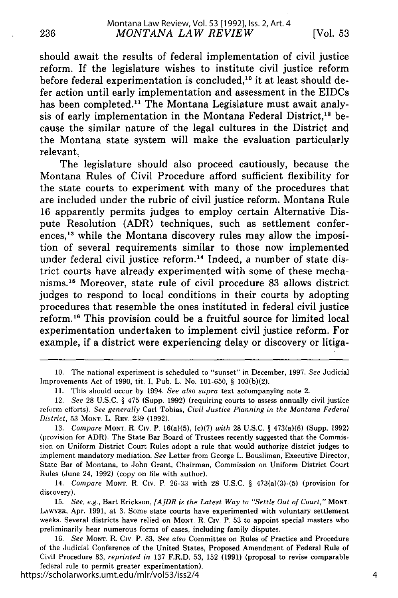should await the results of federal implementation of civil justice reform. If the legislature wishes to institute civil justice reform before federal experimentation is concluded,<sup>10</sup> it at least should defer action until early implementation and assessment in the EIDCs has been completed.<sup>11</sup> The Montana Legislature must await analysis of early implementation in the Montana Federal District.<sup>12</sup> because the similar nature of the legal cultures in the District and the Montana state system will make the evaluation particularly relevant.

The legislature should also proceed cautiously, because the Montana Rules of Civil Procedure afford sufficient flexibility for the state courts to experiment with many of the procedures that are included under the rubric of civil justice reform. Montana Rule 16 apparently permits judges to employ certain Alternative Dispute Resolution (ADR) techniques, such as settlement conferences,<sup>13</sup> while the Montana discovery rules may allow the imposition of several requirements similar to those now implemented under federal civil justice reform.<sup>14</sup> Indeed, a number of state district courts have already experimented with some of these mechanisms.<sup>15</sup> Moreover, state rule of civil procedure 83 allows district judges to respond to local conditions in their courts by adopting procedures that resemble the ones instituted in federal civil justice reform.<sup>16</sup> This provision could be a fruitful source for limited local experimentation undertaken to implement civil justice reform. For example, if a district were experiencing delay or discovery or litiga-

https://scholarworks.umt.edu/mlr/vol53/iss2/4

<sup>10.</sup> The national experiment is scheduled to "sunset" in December, 1997. *See* Judicial Improvements Act of 1990, tit. I, Pub. L. No. 101-650, § 103(b)(2).

**<sup>11.</sup>** This should occur by 1994. *See also supra* text accompanying note 2.

<sup>12.</sup> *See* 28 U.S.C. § 475 (Supp. 1992) (requiring courts to assess annually civil justice reform efforts). *See generally* Carl Tobias, *Civil Justice Planning in the Montana Federal District,* 53 **MONT. L.** REV. 239 (1992).

<sup>13.</sup> *Compare* **MONT.** R. CIv. P. 16(a)(5), (c)(7) *with* 28 U.S.C. § 473(a)(6) (Supp. 1992) (provision for ADR). The State Bar Board of Trustees recently suggested that the Commission on Uniform District Court Rules adopt a rule that would authorize district judges to implement mandatory mediation. *See* Letter from George L. Bousliman, Executive Director, State Bar of Montana, to John Grant, Chairman, Commission on Uniform District Court Rules (June 24, 1992) (copy on file with author).

<sup>14.</sup> *Compare* **MONT.** R. Civ. P. 26-33 with 28 U.S.C. § 473(a)(3)-(5) (provision for discovery).

<sup>15.</sup> *See, e.g.,* Bart Erickson, *[A]DR is the Latest Way to "Settle Out of Court,"* **MONT. LAWYER,** Apr. 1991, at 3. Some state courts have experimented with voluntary settlement weeks. Several districts have relied on **MONT.** R. Civ. P. 53 to appoint special masters who preliminarily hear numerous forms of cases, including family disputes.

<sup>16.</sup> *See* **MONT.** R. Civ. P. 83. *See also* Committee on Rules of Practice and Procedure of the Judicial Conference of the United States, Proposed Amendment of Federal Rule of Civil Procedure 83, *reprinted in* 137 F.R.D. 53, 152 (1991) (proposal to revise comparable federal rule to permit greater experimentation).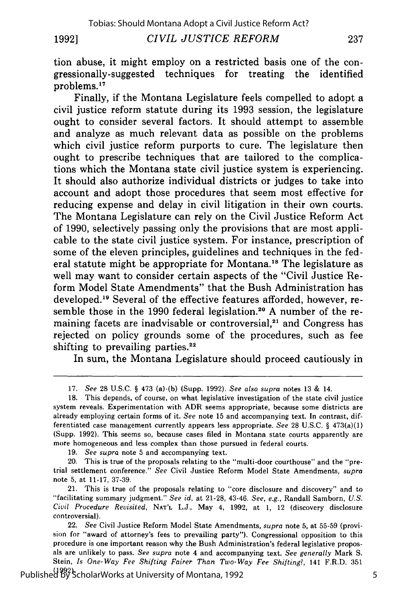**19921**

*CIVIL JUSTICE REFORM*

tion abuse, it might employ on a restricted basis one of the congressionally-suggested techniques for treating the identified problems.17

Finally, if the Montana Legislature feels compelled to adopt a civil justice reform statute during its **1993** session, the legislature ought to consider several factors. It should attempt to assemble and analyze as much relevant data as possible on the problems which civil justice reform purports to cure. The legislature then ought to prescribe techniques that are tailored to the complications which the Montana state civil justice system is experiencing. It should also authorize individual districts or judges to take into account and adopt those procedures that seem most effective for reducing expense and delay in civil litigation in their own courts. The Montana Legislature can rely on the Civil Justice Reform Act of **1990,** selectively passing only the provisions that are most applicable to the state civil justice system. For instance, prescription of some of the eleven principles, guidelines and techniques in the federal statute might be appropriate for Montana.<sup>18</sup> The legislature as well may want to consider certain aspects of the "Civil Justice Reform Model State Amendments" that the Bush Administration has developed.<sup>19</sup> Several of the effective features afforded, however, resemble those in the 1990 federal legislation.<sup>20</sup> A number of the remaining facets are inadvisable or controversial, $2<sup>1</sup>$  and Congress has rejected on policy grounds some of the procedures, such as fee shifting to prevailing parties. $22$ 

In sum, the Montana Legislature should proceed cautiously in

19. *See supra* note 5 and accompanying text.

20. This is true of the proposals relating to the "multi-door courthouse" and the "pretrial settlement conference." *See* Civil Justice Reform Model State Amendments, *supra* note 5, at 11-17, 37-39.

21. This is true of the proposals relating to "core disclosure and discovery" and to "facilitating summary judgment." *See id.* at 21-28, 43-46. *See, e.g.,* Randall Samborn, *U.S. Civil Procedure Revisited,* **NAT'L L.J.,** May 4, 1992, at 1, 12 (discovery disclosure controversial).

22. See Civil Justice Reform Model State Amendments, *supra* note 5, at 55-59 (provision for "award of attorney's fees to prevailing party"). Congressional opposition to this procedure is one important reason why the Bush Administration's federal legislative proposals are unlikely to pass. *See supra* note 4 and accompanying text. *See generally* Mark S. Stein, *Is One-Way Fee Shifting Fairer Than Two-Way Fee Shifting?,* 141 F.R.D. 351

(1992). Published by ScholarWorks at University of Montana, 1992

<sup>17.</sup> *See* 28 U.S.C. § 473 (a)-(b) (Supp. 1992). *See also supra* notes 13 **&** 14.

**<sup>18.</sup>** This depends, of course, on what legislative investigation of the state civil justice system reveals. Experimentation with ADR seems appropriate, because some districts are already employing certain forms of it. *See* note **15** and accompanying text. In contrast, differentiated case management currently appears less appropriate. *See* 28 U.S.C. § 473(a)(1) (Supp. 1992). This seems so, because cases filed in Montana state courts apparently are more homogeneous and less complex than those pursued in federal courts.